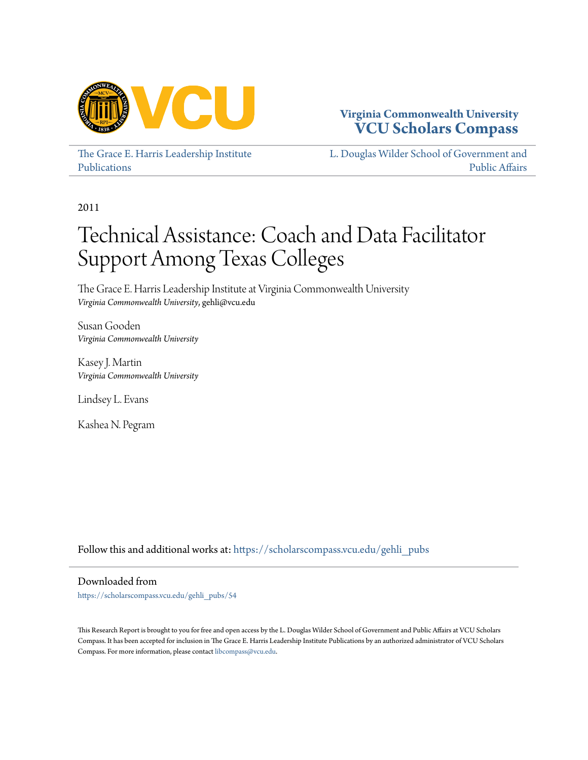

#### **Virginia Commonwealth University [VCU Scholars Compass](https://scholarscompass.vcu.edu?utm_source=scholarscompass.vcu.edu%2Fgehli_pubs%2F54&utm_medium=PDF&utm_campaign=PDFCoverPages)**

[The Grace E. Harris Leadership Institute](https://scholarscompass.vcu.edu/gehli_pubs?utm_source=scholarscompass.vcu.edu%2Fgehli_pubs%2F54&utm_medium=PDF&utm_campaign=PDFCoverPages) [Publications](https://scholarscompass.vcu.edu/gehli_pubs?utm_source=scholarscompass.vcu.edu%2Fgehli_pubs%2F54&utm_medium=PDF&utm_campaign=PDFCoverPages)

[L. Douglas Wilder School of Government and](https://scholarscompass.vcu.edu/wilder?utm_source=scholarscompass.vcu.edu%2Fgehli_pubs%2F54&utm_medium=PDF&utm_campaign=PDFCoverPages) [Public Affairs](https://scholarscompass.vcu.edu/wilder?utm_source=scholarscompass.vcu.edu%2Fgehli_pubs%2F54&utm_medium=PDF&utm_campaign=PDFCoverPages)

2011

# Technical Assistance: Coach and Data Facilitator Support Among Texas Colleges

The Grace E. Harris Leadership Institute at Virginia Commonwealth University *Virginia Commonwealth University*, gehli@vcu.edu

Susan Gooden *Virginia Commonwealth University*

Kasey J. Martin *Virginia Commonwealth University*

Lindsey L. Evans

Kashea N. Pegram

Follow this and additional works at: [https://scholarscompass.vcu.edu/gehli\\_pubs](https://scholarscompass.vcu.edu/gehli_pubs?utm_source=scholarscompass.vcu.edu%2Fgehli_pubs%2F54&utm_medium=PDF&utm_campaign=PDFCoverPages)

Downloaded from

[https://scholarscompass.vcu.edu/gehli\\_pubs/54](https://scholarscompass.vcu.edu/gehli_pubs/54?utm_source=scholarscompass.vcu.edu%2Fgehli_pubs%2F54&utm_medium=PDF&utm_campaign=PDFCoverPages)

This Research Report is brought to you for free and open access by the L. Douglas Wilder School of Government and Public Affairs at VCU Scholars Compass. It has been accepted for inclusion in The Grace E. Harris Leadership Institute Publications by an authorized administrator of VCU Scholars Compass. For more information, please contact [libcompass@vcu.edu](mailto:libcompass@vcu.edu).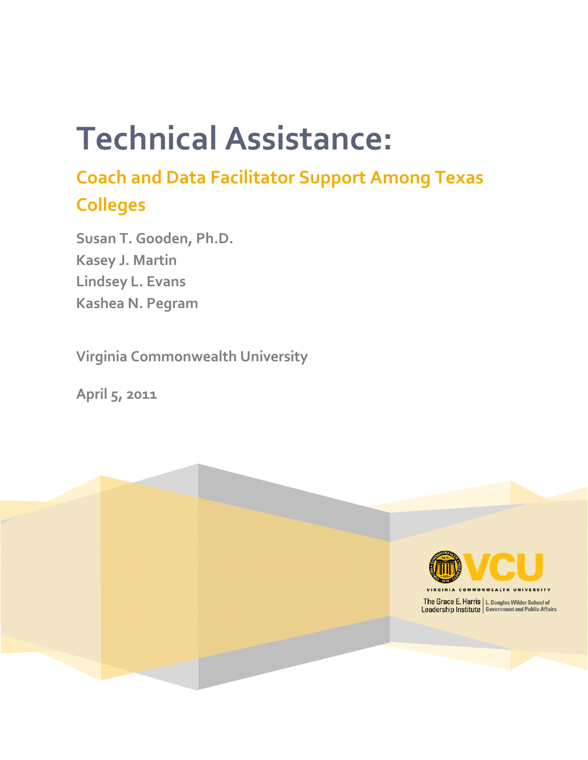# **Technical Assistance:**

## **Coach and Data Facilitator Support Among Texas Colleges**

**Susan T. Gooden, Ph.D. Kasey J. Martin Lindsey L. Evans Kashea N. Pegram** 

**Virginia Commonwealth University**

**April 5, 2011**

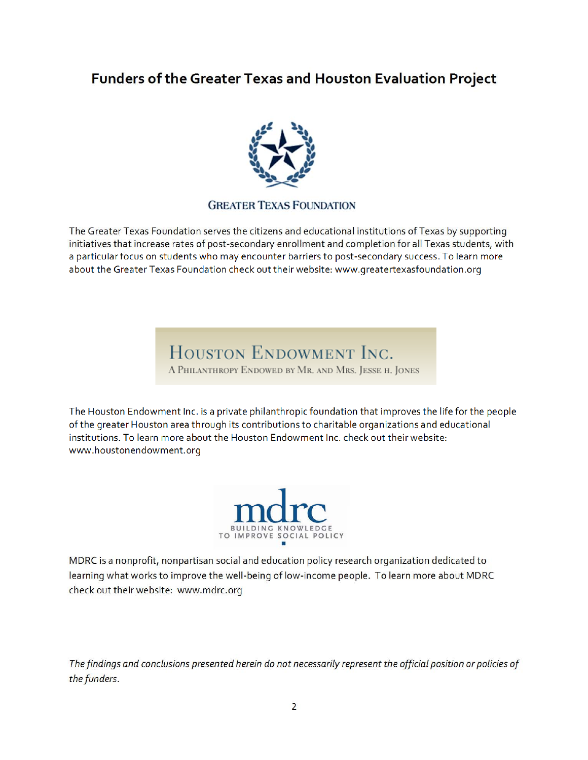### **Funders of the Greater Texas and Houston Evaluation Project**



#### **GREATER TEXAS FOUNDATION**

The Greater Texas Foundation serves the citizens and educational institutions of Texas by supporting initiatives that increase rates of post‐secondary enrollment and completion for all Texas students, with a particular focus on students who may encounter barriers to post‐secondary success. To learn more about the Greater Texas Foundation check out their website: www.greatertexasfoundation.org

## HOUSTON ENDOWMENT INC.

A PHILANTHROPY ENDOWED BY MR. AND MRS. JESSE H. JONES

The Houston Endowment Inc. is a private philanthropic foundation that improves the life for the people of the greater Houston area through its contributions to charitable organizations and educational institutions. To learn more about the Houston Endowment Inc. check out their website: www.houstonendowment.org



MDRC is a nonprofit, nonpartisan social and education policy research organization dedicated to learning what works to improve the well‐being of low‐income people. To learn more about MDRC check out their website: www.mdrc.org

*The findings and conclusions presented herein do not necessarily represent the official position or policies of the funders*.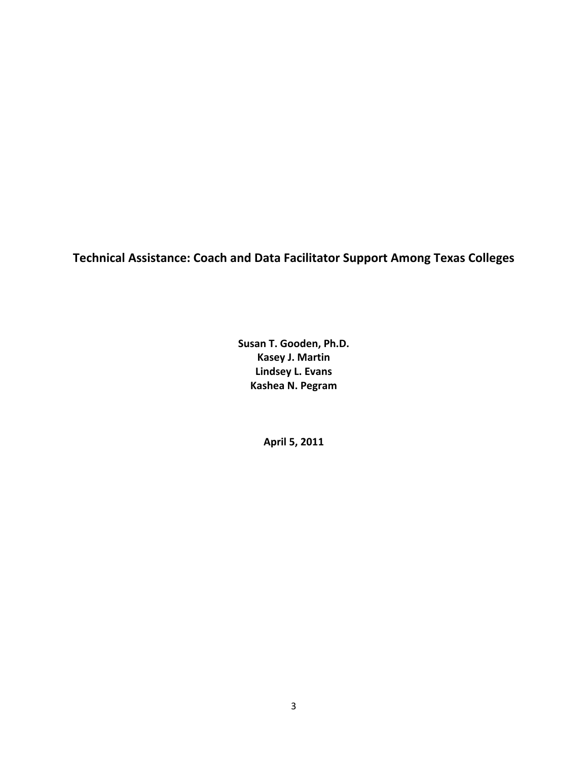**Technical Assistance: Coach and Data Facilitator Support Among Texas Colleges**

**Susan T. Gooden, Ph.D. Kasey J. Martin Lindsey L. Evans Kashea N. Pegram**

**April 5, 2011**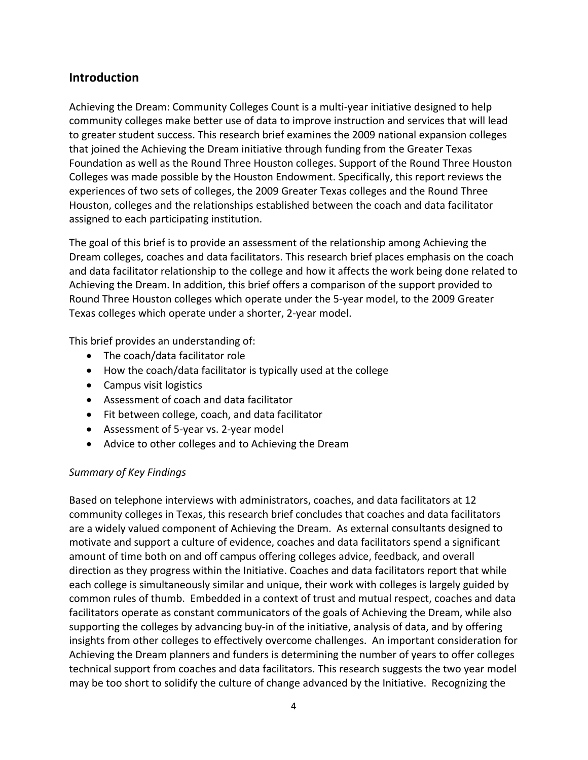#### **Introduction**

Achieving the Dream: Community Colleges Count is a multi-year initiative designed to help community colleges make better use of data to improve instruction and services that will lead to greater student success. This research brief examines the 2009 national expansion colleges that joined the Achieving the Dream initiative through funding from the Greater Texas Foundation as well as the Round Three Houston colleges. Support of the Round Three Houston Colleges was made possible by the Houston Endowment. Specifically, this report reviews the experiences of two sets of colleges, the 2009 Greater Texas colleges and the Round Three Houston, colleges and the relationships established between the coach and data facilitator assigned to each participating institution.

The goal of this brief is to provide an assessment of the relationship among Achieving the Dream colleges, coaches and data facilitators. This research brief places emphasis on the coach and data facilitator relationship to the college and how it affects the work being done related to Achieving the Dream. In addition, this brief offers a comparison of the support provided to Round Three Houston colleges which operate under the 5‐year model, to the 2009 Greater Texas colleges which operate under a shorter, 2‐year model.

This brief provides an understanding of:

- The coach/data facilitator role
- How the coach/data facilitator is typically used at the college
- Campus visit logistics
- Assessment of coach and data facilitator
- Fit between college, coach, and data facilitator
- Assessment of 5‐year vs. 2‐year model
- Advice to other colleges and to Achieving the Dream

#### *Summary of Key Findings*

Based on telephone interviews with administrators, coaches, and data facilitators at 12 community colleges in Texas, this research brief concludes that coaches and data facilitators are a widely valued component of Achieving the Dream. As external consultants designed to motivate and support a culture of evidence, coaches and data facilitators spend a significant amount of time both on and off campus offering colleges advice, feedback, and overall direction as they progress within the Initiative. Coaches and data facilitators report that while each college is simultaneously similar and unique, their work with colleges is largely guided by common rules of thumb. Embedded in a context of trust and mutual respect, coaches and data facilitators operate as constant communicators of the goals of Achieving the Dream, while also supporting the colleges by advancing buy‐in of the initiative, analysis of data, and by offering insights from other colleges to effectively overcome challenges. An important consideration for Achieving the Dream planners and funders is determining the number of years to offer colleges technical support from coaches and data facilitators. This research suggests the two year model may be too short to solidify the culture of change advanced by the Initiative. Recognizing the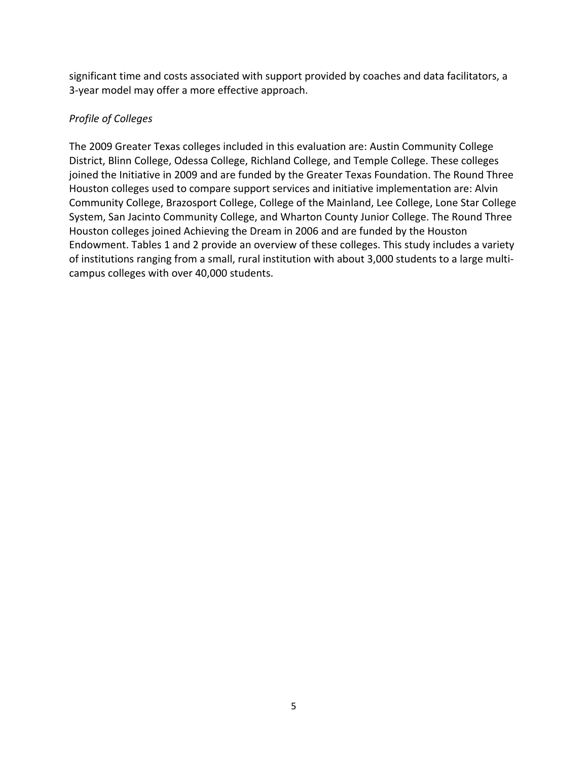significant time and costs associated with support provided by coaches and data facilitators, a 3‐year model may offer a more effective approach.

#### *Profile of Colleges*

The 2009 Greater Texas colleges included in this evaluation are: Austin Community College District, Blinn College, Odessa College, Richland College, and Temple College. These colleges joined the Initiative in 2009 and are funded by the Greater Texas Foundation. The Round Three Houston colleges used to compare support services and initiative implementation are: Alvin Community College, Brazosport College, College of the Mainland, Lee College, Lone Star College System, San Jacinto Community College, and Wharton County Junior College. The Round Three Houston colleges joined Achieving the Dream in 2006 and are funded by the Houston Endowment. Tables 1 and 2 provide an overview of these colleges. This study includes a variety of institutions ranging from a small, rural institution with about 3,000 students to a large multi‐ campus colleges with over 40,000 students.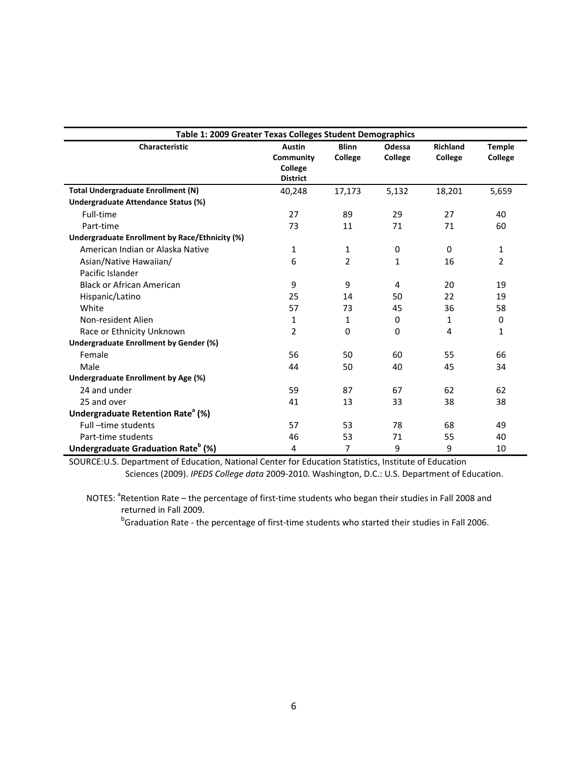| Table 1: 2009 Greater Texas Colleges Student Demographics |                                                          |                         |                   |                            |                          |  |
|-----------------------------------------------------------|----------------------------------------------------------|-------------------------|-------------------|----------------------------|--------------------------|--|
| <b>Characteristic</b>                                     | <b>Austin</b><br>Community<br>College<br><b>District</b> | <b>Blinn</b><br>College | Odessa<br>College | <b>Richland</b><br>College | <b>Temple</b><br>College |  |
| <b>Total Undergraduate Enrollment (N)</b>                 | 40,248                                                   | 17,173                  | 5,132             | 18,201                     | 5,659                    |  |
| Undergraduate Attendance Status (%)                       |                                                          |                         |                   |                            |                          |  |
| Full-time                                                 | 27                                                       | 89                      | 29                | 27                         | 40                       |  |
| Part-time                                                 | 73                                                       | 11                      | 71                | 71                         | 60                       |  |
| Undergraduate Enrollment by Race/Ethnicity (%)            |                                                          |                         |                   |                            |                          |  |
| American Indian or Alaska Native                          | 1                                                        | $\mathbf{1}$            | $\Omega$          | 0                          | 1                        |  |
| Asian/Native Hawaiian/                                    | 6                                                        | $\overline{2}$          | $\mathbf{1}$      | 16                         | $\overline{2}$           |  |
| Pacific Islander                                          |                                                          |                         |                   |                            |                          |  |
| <b>Black or African American</b>                          | 9                                                        | 9                       | 4                 | 20                         | 19                       |  |
| Hispanic/Latino                                           | 25                                                       | 14                      | 50                | 22                         | 19                       |  |
| White                                                     | 57                                                       | 73                      | 45                | 36                         | 58                       |  |
| Non-resident Alien                                        | 1                                                        | $\mathbf{1}$            | $\Omega$          | 1                          | 0                        |  |
| Race or Ethnicity Unknown                                 | $\overline{2}$                                           | $\Omega$                | 0                 | 4                          | 1                        |  |
| <b>Undergraduate Enrollment by Gender (%)</b>             |                                                          |                         |                   |                            |                          |  |
| Female                                                    | 56                                                       | 50                      | 60                | 55                         | 66                       |  |
| Male                                                      | 44                                                       | 50                      | 40                | 45                         | 34                       |  |
| Undergraduate Enrollment by Age (%)                       |                                                          |                         |                   |                            |                          |  |
| 24 and under                                              | 59                                                       | 87                      | 67                | 62                         | 62                       |  |
| 25 and over                                               | 41                                                       | 13                      | 33                | 38                         | 38                       |  |
| Undergraduate Retention Rate <sup>a</sup> (%)             |                                                          |                         |                   |                            |                          |  |
| Full-time students                                        | 57                                                       | 53                      | 78                | 68                         | 49                       |  |
| Part-time students                                        | 46                                                       | 53                      | 71                | 55                         | 40                       |  |
| Undergraduate Graduation Rate <sup>b</sup> (%)            | 4                                                        | 7                       | 9                 | 9                          | 10                       |  |

SOURCE:U.S. Department of Education, National Center for Education Statistics, Institute of Education Sciences (2009). *IPEDS College data* 2009‐2010. Washington, D.C.: U.S. Department of Education.

NOTES: <sup>a</sup>Retention Rate – the percentage of first-time students who began their studies in Fall 2008 and returned in Fall 2009.

b<sub>b</sub> b <sup>b</sup>Graduation Rate - the percentage of first-time students who started their studies in Fall 2006.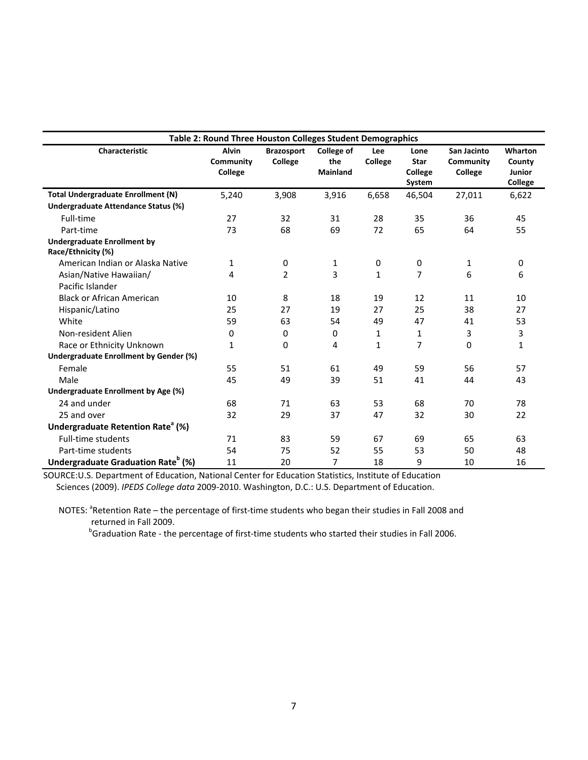| Table 2: Round Three Houston Colleges Student Demographics |              |                   |                   |                |             |             |              |
|------------------------------------------------------------|--------------|-------------------|-------------------|----------------|-------------|-------------|--------------|
| <b>Characteristic</b>                                      | <b>Alvin</b> | <b>Brazosport</b> | <b>College of</b> | <b>Lee</b>     | Lone        | San Jacinto | Wharton      |
|                                                            | Community    | College           | the               | <b>College</b> | <b>Star</b> | Community   | County       |
|                                                            | College      |                   | <b>Mainland</b>   |                | College     | College     | Junior       |
|                                                            |              |                   |                   |                | System      |             | College      |
| <b>Total Undergraduate Enrollment (N)</b>                  | 5,240        | 3,908             | 3,916             | 6,658          | 46,504      | 27,011      | 6,622        |
| Undergraduate Attendance Status (%)                        |              |                   |                   |                |             |             |              |
| Full-time                                                  | 27           | 32                | 31                | 28             | 35          | 36          | 45           |
| Part-time                                                  | 73           | 68                | 69                | 72             | 65          | 64          | 55           |
| <b>Undergraduate Enrollment by</b>                         |              |                   |                   |                |             |             |              |
| Race/Ethnicity (%)                                         |              |                   |                   |                |             |             |              |
| American Indian or Alaska Native                           | 1            | 0                 | 1                 | 0              | $\mathbf 0$ | 1           | 0            |
| Asian/Native Hawaiian/                                     | 4            | $\overline{2}$    | 3                 | 1              | 7           | 6           | 6            |
| Pacific Islander                                           |              |                   |                   |                |             |             |              |
| <b>Black or African American</b>                           | 10           | 8                 | 18                | 19             | 12          | 11          | 10           |
| Hispanic/Latino                                            | 25           | 27                | 19                | 27             | 25          | 38          | 27           |
| White                                                      | 59           | 63                | 54                | 49             | 47          | 41          | 53           |
| Non-resident Alien                                         | 0            | 0                 | 0                 | $\mathbf{1}$   | 1           | 3           | 3            |
| Race or Ethnicity Unknown                                  | $\mathbf{1}$ | 0                 | 4                 | $\mathbf{1}$   | 7           | 0           | $\mathbf{1}$ |
| <b>Undergraduate Enrollment by Gender (%)</b>              |              |                   |                   |                |             |             |              |
| Female                                                     | 55           | 51                | 61                | 49             | 59          | 56          | 57           |
| Male                                                       | 45           | 49                | 39                | 51             | 41          | 44          | 43           |
| Undergraduate Enrollment by Age (%)                        |              |                   |                   |                |             |             |              |
| 24 and under                                               | 68           | 71                | 63                | 53             | 68          | 70          | 78           |
| 25 and over                                                | 32           | 29                | 37                | 47             | 32          | 30          | 22           |
| Undergraduate Retention Rate <sup>a</sup> (%)              |              |                   |                   |                |             |             |              |
| <b>Full-time students</b>                                  | 71           | 83                | 59                | 67             | 69          | 65          | 63           |
| Part-time students                                         | 54           | 75                | 52                | 55             | 53          | 50          | 48           |
| Undergraduate Graduation Rate <sup>b</sup> (%)             | 11           | 20                | 7                 | 18             | 9           | 10          | 16           |

 SOURCE:U.S. Department of Education, National Center for Education Statistics, Institute of Education Sciences (2009). *IPEDS College data* 2009‐2010. Washington, D.C.: U.S. Department of Education.

NOTES: <sup>a</sup>Retention Rate – the percentage of first-time students who began their studies in Fall 2008 and returned in Fall 2009.

b<sub>b</sub> and the state of the state of the state of the state of the state of the state of the state of the state of the state of the state of the state of the state of the state of the state of the state of the state of the s Graduation Rate ‐ the percentage of first‐time students who started their studies in Fall 2006.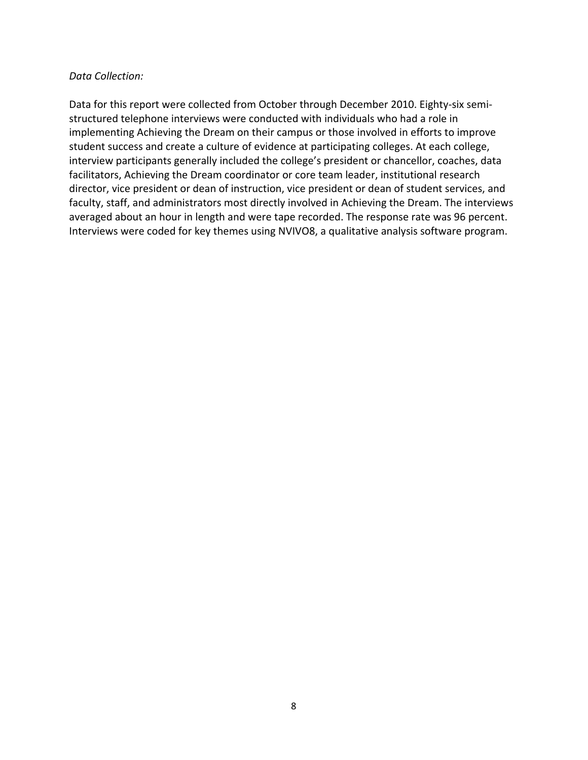#### *Data Collection:*

Data for this report were collected from October through December 2010. Eighty-six semistructured telephone interviews were conducted with individuals who had a role in implementing Achieving the Dream on their campus or those involved in efforts to improve student success and create a culture of evidence at participating colleges. At each college, interview participants generally included the college's president or chancellor, coaches, data facilitators, Achieving the Dream coordinator or core team leader, institutional research director, vice president or dean of instruction, vice president or dean of student services, and faculty, staff, and administrators most directly involved in Achieving the Dream. The interviews averaged about an hour in length and were tape recorded. The response rate was 96 percent. Interviews were coded for key themes using NVIVO8, a qualitative analysis software program.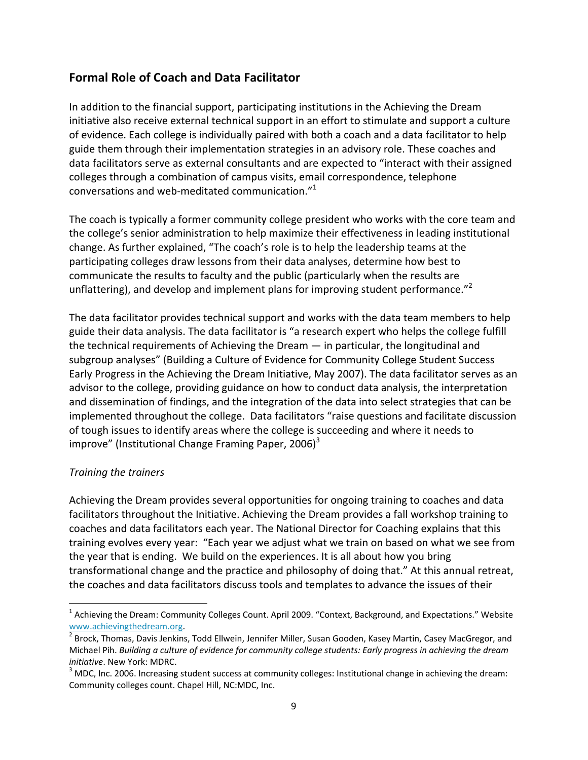#### **Formal Role of Coach and Data Facilitator**

In addition to the financial support, participating institutions in the Achieving the Dream initiative also receive external technical support in an effort to stimulate and support a culture of evidence. Each college is individually paired with both a coach and a data facilitator to help guide them through their implementation strategies in an advisory role. These coaches and data facilitators serve as external consultants and are expected to "interact with their assigned colleges through a combination of campus visits, email correspondence, telephone conversations and web-meditated communication." $1$ 

The coach is typically a former community college president who works with the core team and the college's senior administration to help maximize their effectiveness in leading institutional change. As further explained, "The coach's role is to help the leadership teams at the participating colleges draw lessons from their data analyses, determine how best to communicate the results to faculty and the public (particularly when the results are unflattering), and develop and implement plans for improving student performance."<sup>2</sup>

The data facilitator provides technical support and works with the data team members to help guide their data analysis. The data facilitator is "a research expert who helps the college fulfill the technical requirements of Achieving the Dream — in particular, the longitudinal and subgroup analyses" (Building a Culture of Evidence for Community College Student Success Early Progress in the Achieving the Dream Initiative, May 2007). The data facilitator serves as an advisor to the college, providing guidance on how to conduct data analysis, the interpretation and dissemination of findings, and the integration of the data into select strategies that can be implemented throughout the college. Data facilitators "raise questions and facilitate discussion of tough issues to identify areas where the college is succeeding and where it needs to improve" (Institutional Change Framing Paper,  $2006$ )<sup>3</sup>

#### *Training the trainers*

Achieving the Dream provides several opportunities for ongoing training to coaches and data facilitators throughout the Initiative. Achieving the Dream provides a fall workshop training to coaches and data facilitators each year. The National Director for Coaching explains that this training evolves every year: "Each year we adjust what we train on based on what we see from the year that is ending. We build on the experiences. It is all about how you bring transformational change and the practice and philosophy of doing that." At this annual retreat, the coaches and data facilitators discuss tools and templates to advance the issues of their

 $1$  Achieving the Dream: Community Colleges Count. April 2009. "Context, Background, and Expectations." Website www.achievingthedream.org.<br><sup>2</sup> Brock, Thomas, Davis Jenkins, Todd Ellwein, Jennifer Miller, Susan Gooden, Kasey Martin, Casey MacGregor, and

Michael Pih. *Building a culture of evidence for community college students: Early progress in achieving the dream*

*initiative*. New York: MDRC.<br><sup>3</sup> MDC, Inc. 2006. Increasing student success at community colleges: Institutional change in achieving the dream: Community colleges count. Chapel Hill, NC:MDC, Inc.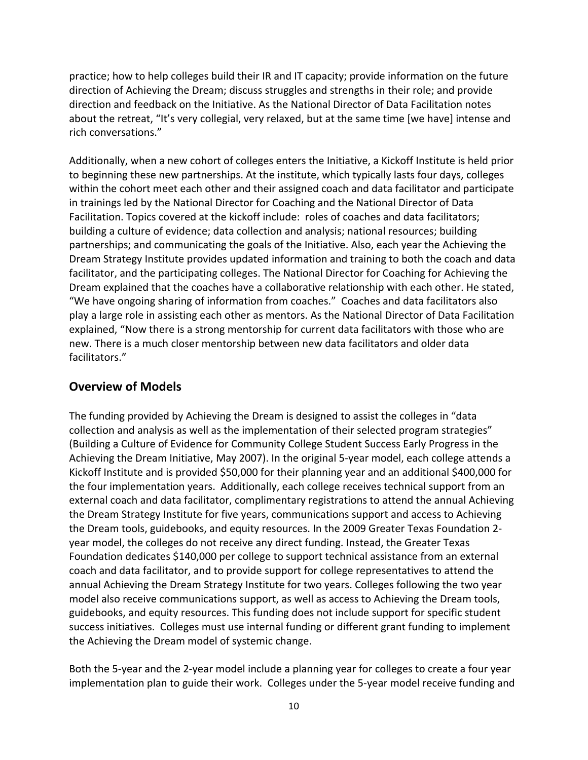practice; how to help colleges build their IR and IT capacity; provide information on the future direction of Achieving the Dream; discuss struggles and strengths in their role; and provide direction and feedback on the Initiative. As the National Director of Data Facilitation notes about the retreat, "It's very collegial, very relaxed, but at the same time [we have] intense and rich conversations."

Additionally, when a new cohort of colleges enters the Initiative, a Kickoff Institute is held prior to beginning these new partnerships. At the institute, which typically lasts four days, colleges within the cohort meet each other and their assigned coach and data facilitator and participate in trainings led by the National Director for Coaching and the National Director of Data Facilitation. Topics covered at the kickoff include: roles of coaches and data facilitators; building a culture of evidence; data collection and analysis; national resources; building partnerships; and communicating the goals of the Initiative. Also, each year the Achieving the Dream Strategy Institute provides updated information and training to both the coach and data facilitator, and the participating colleges. The National Director for Coaching for Achieving the Dream explained that the coaches have a collaborative relationship with each other. He stated, "We have ongoing sharing of information from coaches." Coaches and data facilitators also play a large role in assisting each other as mentors. As the National Director of Data Facilitation explained, "Now there is a strong mentorship for current data facilitators with those who are new. There is a much closer mentorship between new data facilitators and older data facilitators."

#### **Overview of Models**

The funding provided by Achieving the Dream is designed to assist the colleges in "data collection and analysis as well as the implementation of their selected program strategies" (Building a Culture of Evidence for Community College Student Success Early Progress in the Achieving the Dream Initiative, May 2007). In the original 5‐year model, each college attends a Kickoff Institute and is provided \$50,000 for their planning year and an additional \$400,000 for the four implementation years. Additionally, each college receives technical support from an external coach and data facilitator, complimentary registrations to attend the annual Achieving the Dream Strategy Institute for five years, communications support and access to Achieving the Dream tools, guidebooks, and equity resources. In the 2009 Greater Texas Foundation 2‐ year model, the colleges do not receive any direct funding. Instead, the Greater Texas Foundation dedicates \$140,000 per college to support technical assistance from an external coach and data facilitator, and to provide support for college representatives to attend the annual Achieving the Dream Strategy Institute for two years. Colleges following the two year model also receive communications support, as well as access to Achieving the Dream tools, guidebooks, and equity resources. This funding does not include support for specific student success initiatives. Colleges must use internal funding or different grant funding to implement the Achieving the Dream model of systemic change.

Both the 5‐year and the 2‐year model include a planning year for colleges to create a four year implementation plan to guide their work. Colleges under the 5-year model receive funding and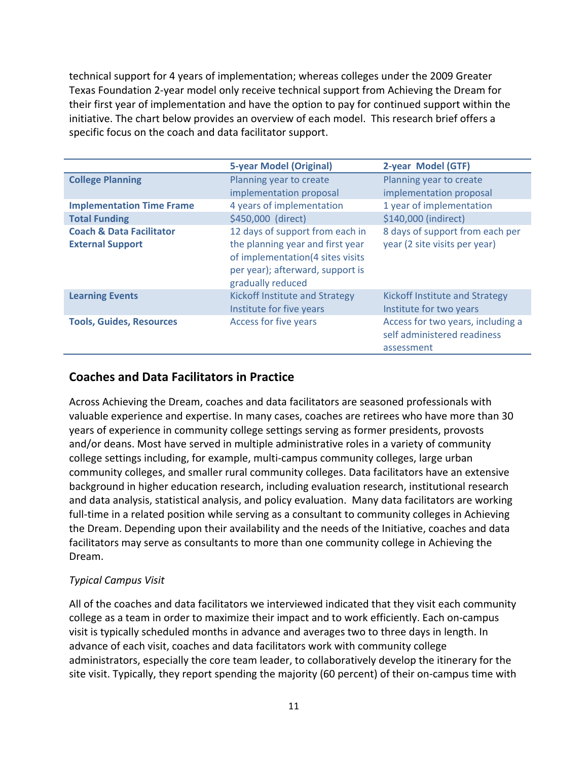technical support for 4 years of implementation; whereas colleges under the 2009 Greater Texas Foundation 2‐year model only receive technical support from Achieving the Dream for their first year of implementation and have the option to pay for continued support within the initiative. The chart below provides an overview of each model. This research brief offers a specific focus on the coach and data facilitator support.

|                                                                | <b>5-year Model (Original)</b>                                                                                                                                   | 2-year Model (GTF)                                                             |
|----------------------------------------------------------------|------------------------------------------------------------------------------------------------------------------------------------------------------------------|--------------------------------------------------------------------------------|
| <b>College Planning</b>                                        | Planning year to create                                                                                                                                          | Planning year to create                                                        |
|                                                                | implementation proposal                                                                                                                                          | implementation proposal                                                        |
| <b>Implementation Time Frame</b>                               | 4 years of implementation                                                                                                                                        | 1 year of implementation                                                       |
| <b>Total Funding</b>                                           | \$450,000 (direct)                                                                                                                                               | \$140,000 (indirect)                                                           |
| <b>Coach &amp; Data Facilitator</b><br><b>External Support</b> | 12 days of support from each in<br>the planning year and first year<br>of implementation(4 sites visits<br>per year); afterward, support is<br>gradually reduced | 8 days of support from each per<br>year (2 site visits per year)               |
| <b>Learning Events</b>                                         | Kickoff Institute and Strategy<br>Institute for five years                                                                                                       | Kickoff Institute and Strategy<br>Institute for two years                      |
| <b>Tools, Guides, Resources</b>                                | Access for five years                                                                                                                                            | Access for two years, including a<br>self administered readiness<br>assessment |

#### **Coaches and Data Facilitators in Practice**

Across Achieving the Dream, coaches and data facilitators are seasoned professionals with valuable experience and expertise. In many cases, coaches are retirees who have more than 30 years of experience in community college settings serving as former presidents, provosts and/or deans. Most have served in multiple administrative roles in a variety of community college settings including, for example, multi‐campus community colleges, large urban community colleges, and smaller rural community colleges. Data facilitators have an extensive background in higher education research, including evaluation research, institutional research and data analysis, statistical analysis, and policy evaluation. Many data facilitators are working full-time in a related position while serving as a consultant to community colleges in Achieving the Dream. Depending upon their availability and the needs of the Initiative, coaches and data facilitators may serve as consultants to more than one community college in Achieving the Dream.

#### *Typical Campus Visit*

All of the coaches and data facilitators we interviewed indicated that they visit each community college as a team in order to maximize their impact and to work efficiently. Each on‐campus visit is typically scheduled months in advance and averages two to three days in length. In advance of each visit, coaches and data facilitators work with community college administrators, especially the core team leader, to collaboratively develop the itinerary for the site visit. Typically, they report spending the majority (60 percent) of their on-campus time with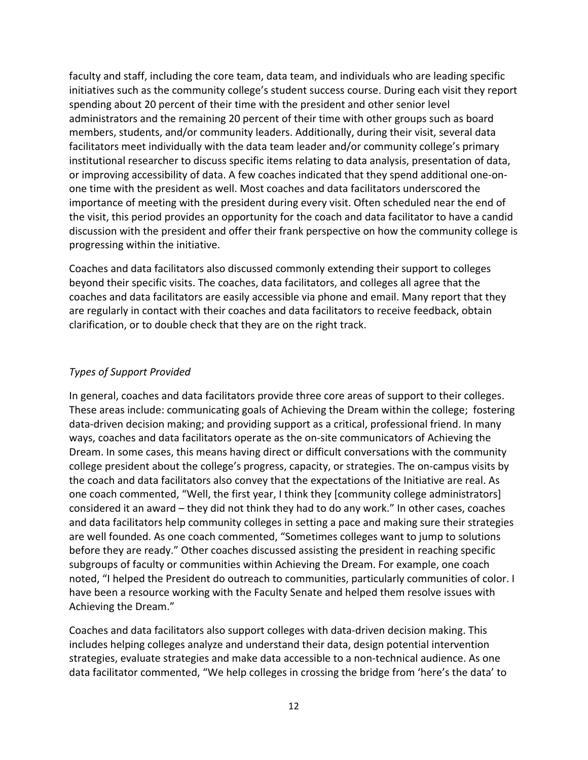faculty and staff, including the core team, data team, and individuals who are leading specific initiatives such as the community college's student success course. During each visit they report spending about 20 percent of their time with the president and other senior level administrators and the remaining 20 percent of their time with other groups such as board members, students, and/or community leaders. Additionally, during their visit, several data facilitators meet individually with the data team leader and/or community college's primary institutional researcher to discuss specific items relating to data analysis, presentation of data, or improving accessibility of data. A few coaches indicated that they spend additional one‐on‐ one time with the president as well. Most coaches and data facilitators underscored the importance of meeting with the president during every visit. Often scheduled near the end of the visit, this period provides an opportunity for the coach and data facilitator to have a candid discussion with the president and offer their frank perspective on how the community college is progressing within the initiative.

Coaches and data facilitators also discussed commonly extending their support to colleges beyond their specific visits. The coaches, data facilitators, and colleges all agree that the coaches and data facilitators are easily accessible via phone and email. Many report that they are regularly in contact with their coaches and data facilitators to receive feedback, obtain clarification, or to double check that they are on the right track.

#### *Types of Support Provided*

In general, coaches and data facilitators provide three core areas of support to their colleges. These areas include: communicating goals of Achieving the Dream within the college; fostering data‐driven decision making; and providing support as a critical, professional friend. In many ways, coaches and data facilitators operate as the on-site communicators of Achieving the Dream. In some cases, this means having direct or difficult conversations with the community college president about the college's progress, capacity, or strategies. The on‐campus visits by the coach and data facilitators also convey that the expectations of the Initiative are real. As one coach commented, "Well, the first year, I think they [community college administrators] considered it an award – they did not think they had to do any work." In other cases, coaches and data facilitators help community colleges in setting a pace and making sure their strategies are well founded. As one coach commented, "Sometimes colleges want to jump to solutions before they are ready." Other coaches discussed assisting the president in reaching specific subgroups of faculty or communities within Achieving the Dream. For example, one coach noted, "I helped the President do outreach to communities, particularly communities of color. I have been a resource working with the Faculty Senate and helped them resolve issues with Achieving the Dream."

Coaches and data facilitators also support colleges with data‐driven decision making. This includes helping colleges analyze and understand their data, design potential intervention strategies, evaluate strategies and make data accessible to a non‐technical audience. As one data facilitator commented, "We help colleges in crossing the bridge from 'here's the data' to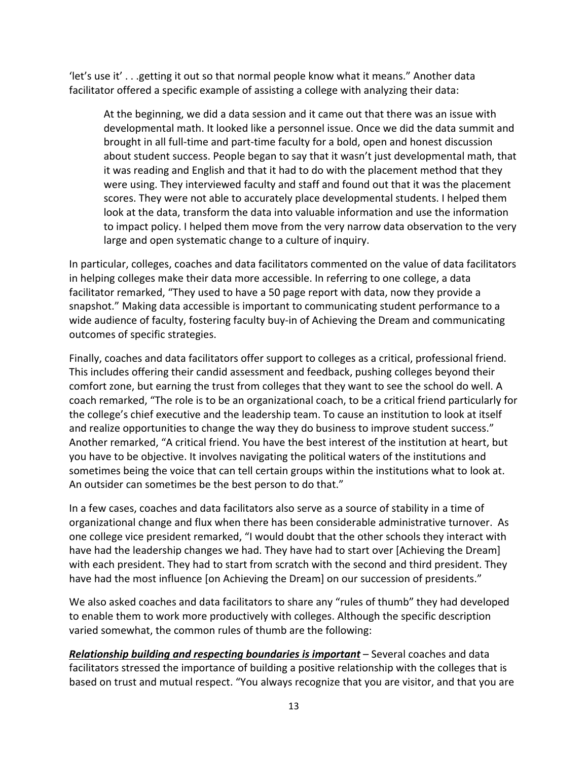'let's use it' . . .getting it out so that normal people know what it means." Another data facilitator offered a specific example of assisting a college with analyzing their data:

At the beginning, we did a data session and it came out that there was an issue with developmental math. It looked like a personnel issue. Once we did the data summit and brought in all full‐time and part‐time faculty for a bold, open and honest discussion about student success. People began to say that it wasn't just developmental math, that it was reading and English and that it had to do with the placement method that they were using. They interviewed faculty and staff and found out that it was the placement scores. They were not able to accurately place developmental students. I helped them look at the data, transform the data into valuable information and use the information to impact policy. I helped them move from the very narrow data observation to the very large and open systematic change to a culture of inquiry.

In particular, colleges, coaches and data facilitators commented on the value of data facilitators in helping colleges make their data more accessible. In referring to one college, a data facilitator remarked, "They used to have a 50 page report with data, now they provide a snapshot." Making data accessible is important to communicating student performance to a wide audience of faculty, fostering faculty buy-in of Achieving the Dream and communicating outcomes of specific strategies.

Finally, coaches and data facilitators offer support to colleges as a critical, professional friend. This includes offering their candid assessment and feedback, pushing colleges beyond their comfort zone, but earning the trust from colleges that they want to see the school do well. A coach remarked, "The role is to be an organizational coach, to be a critical friend particularly for the college's chief executive and the leadership team. To cause an institution to look at itself and realize opportunities to change the way they do business to improve student success." Another remarked, "A critical friend. You have the best interest of the institution at heart, but you have to be objective. It involves navigating the political waters of the institutions and sometimes being the voice that can tell certain groups within the institutions what to look at. An outsider can sometimes be the best person to do that."

In a few cases, coaches and data facilitators also serve as a source of stability in a time of organizational change and flux when there has been considerable administrative turnover. As one college vice president remarked, "I would doubt that the other schools they interact with have had the leadership changes we had. They have had to start over [Achieving the Dream] with each president. They had to start from scratch with the second and third president. They have had the most influence [on Achieving the Dream] on our succession of presidents."

We also asked coaches and data facilitators to share any "rules of thumb" they had developed to enable them to work more productively with colleges. Although the specific description varied somewhat, the common rules of thumb are the following:

*Relationship building and respecting boundaries is important* – Several coaches and data facilitators stressed the importance of building a positive relationship with the colleges that is based on trust and mutual respect. "You always recognize that you are visitor, and that you are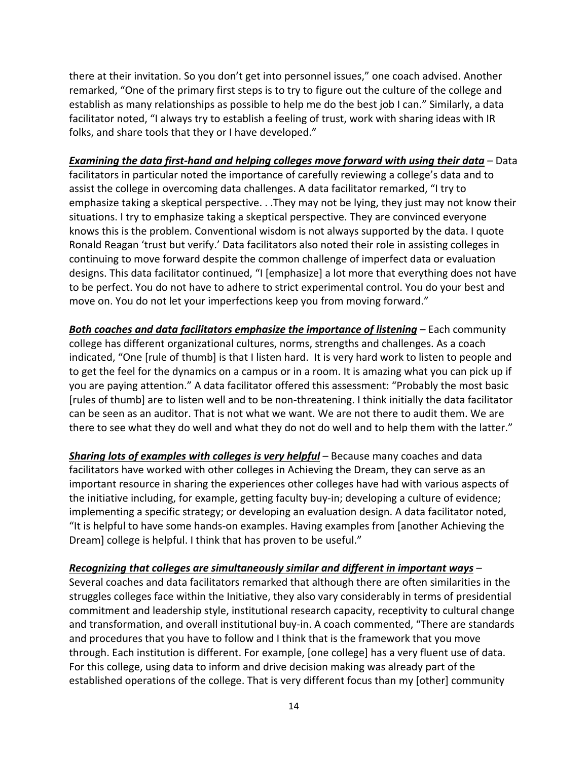there at their invitation. So you don't get into personnel issues," one coach advised. Another remarked, "One of the primary first steps is to try to figure out the culture of the college and establish as many relationships as possible to help me do the best job I can." Similarly, a data facilitator noted, "I always try to establish a feeling of trust, work with sharing ideas with IR folks, and share tools that they or I have developed."

#### *Examining the data first‐hand and helping colleges move forward with using their data –* Data

facilitators in particular noted the importance of carefully reviewing a college's data and to assist the college in overcoming data challenges. A data facilitator remarked, "I try to emphasize taking a skeptical perspective. . .They may not be lying, they just may not know their situations. I try to emphasize taking a skeptical perspective. They are convinced everyone knows this is the problem. Conventional wisdom is not always supported by the data. I quote Ronald Reagan 'trust but verify.' Data facilitators also noted their role in assisting colleges in continuing to move forward despite the common challenge of imperfect data or evaluation designs. This data facilitator continued, "I [emphasize] a lot more that everything does not have to be perfect. You do not have to adhere to strict experimental control. You do your best and move on. You do not let your imperfections keep you from moving forward."

*Both coaches and data facilitators emphasize the importance of listening –* Each community college has different organizational cultures, norms, strengths and challenges. As a coach indicated, "One [rule of thumb] is that I listen hard. It is very hard work to listen to people and to get the feel for the dynamics on a campus or in a room. It is amazing what you can pick up if you are paying attention." A data facilitator offered this assessment: "Probably the most basic [rules of thumb] are to listen well and to be non-threatening. I think initially the data facilitator can be seen as an auditor. That is not what we want. We are not there to audit them. We are there to see what they do well and what they do not do well and to help them with the latter."

*Sharing lots of examples with colleges is very helpful –* Because many coaches and data facilitators have worked with other colleges in Achieving the Dream, they can serve as an important resource in sharing the experiences other colleges have had with various aspects of the initiative including, for example, getting faculty buy‐in; developing a culture of evidence; implementing a specific strategy; or developing an evaluation design. A data facilitator noted, "It is helpful to have some hands‐on examples. Having examples from [another Achieving the Dream] college is helpful. I think that has proven to be useful."

#### *Recognizing that colleges are simultaneously similar and different in important ways –*

Several coaches and data facilitators remarked that although there are often similarities in the struggles colleges face within the Initiative, they also vary considerably in terms of presidential commitment and leadership style, institutional research capacity, receptivity to cultural change and transformation, and overall institutional buy-in. A coach commented, "There are standards and procedures that you have to follow and I think that is the framework that you move through. Each institution is different. For example, [one college] has a very fluent use of data. For this college, using data to inform and drive decision making was already part of the established operations of the college. That is very different focus than my [other] community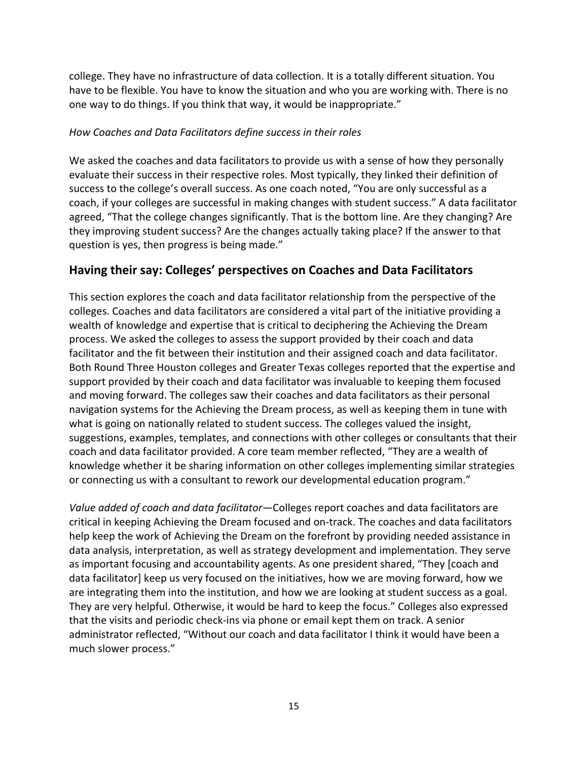college. They have no infrastructure of data collection. It is a totally different situation. You have to be flexible. You have to know the situation and who you are working with. There is no one way to do things. If you think that way, it would be inappropriate."

#### *How Coaches and Data Facilitators define success in their roles*

We asked the coaches and data facilitators to provide us with a sense of how they personally evaluate their success in their respective roles. Most typically, they linked their definition of success to the college's overall success. As one coach noted, "You are only successful as a coach, if your colleges are successful in making changes with student success." A data facilitator agreed, "That the college changes significantly. That is the bottom line. Are they changing? Are they improving student success? Are the changes actually taking place? If the answer to that question is yes, then progress is being made."

#### **Having their say: Colleges' perspectives on Coaches and Data Facilitators**

This section explores the coach and data facilitator relationship from the perspective of the colleges. Coaches and data facilitators are considered a vital part of the initiative providing a wealth of knowledge and expertise that is critical to deciphering the Achieving the Dream process. We asked the colleges to assess the support provided by their coach and data facilitator and the fit between their institution and their assigned coach and data facilitator. Both Round Three Houston colleges and Greater Texas colleges reported that the expertise and support provided by their coach and data facilitator was invaluable to keeping them focused and moving forward. The colleges saw their coaches and data facilitators as their personal navigation systems for the Achieving the Dream process, as well as keeping them in tune with what is going on nationally related to student success. The colleges valued the insight, suggestions, examples, templates, and connections with other colleges or consultants that their coach and data facilitator provided. A core team member reflected, "They are a wealth of knowledge whether it be sharing information on other colleges implementing similar strategies or connecting us with a consultant to rework our developmental education program."

*Value added of coach and data facilitator—*Colleges report coaches and data facilitators are critical in keeping Achieving the Dream focused and on‐track. The coaches and data facilitators help keep the work of Achieving the Dream on the forefront by providing needed assistance in data analysis, interpretation, as well as strategy development and implementation. They serve as important focusing and accountability agents. As one president shared, "They [coach and data facilitator] keep us very focused on the initiatives, how we are moving forward, how we are integrating them into the institution, and how we are looking at student success as a goal. They are very helpful. Otherwise, it would be hard to keep the focus." Colleges also expressed that the visits and periodic check‐ins via phone or email kept them on track. A senior administrator reflected, "Without our coach and data facilitator I think it would have been a much slower process."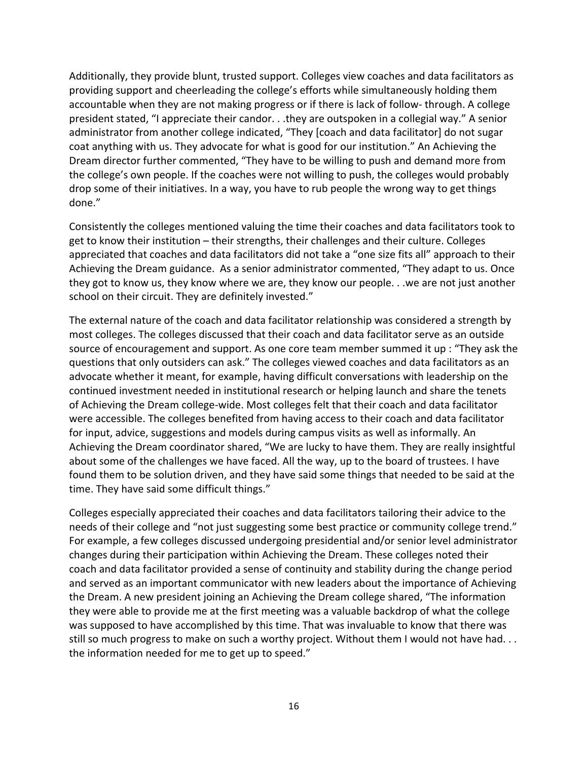Additionally, they provide blunt, trusted support. Colleges view coaches and data facilitators as providing support and cheerleading the college's efforts while simultaneously holding them accountable when they are not making progress or if there is lack of follow‐ through. A college president stated, "I appreciate their candor. . .they are outspoken in a collegial way." A senior administrator from another college indicated, "They [coach and data facilitator] do not sugar coat anything with us. They advocate for what is good for our institution." An Achieving the Dream director further commented, "They have to be willing to push and demand more from the college's own people. If the coaches were not willing to push, the colleges would probably drop some of their initiatives. In a way, you have to rub people the wrong way to get things done."

Consistently the colleges mentioned valuing the time their coaches and data facilitators took to get to know their institution – their strengths, their challenges and their culture. Colleges appreciated that coaches and data facilitators did not take a "one size fits all" approach to their Achieving the Dream guidance. As a senior administrator commented, "They adapt to us. Once they got to know us, they know where we are, they know our people. . .we are not just another school on their circuit. They are definitely invested."

The external nature of the coach and data facilitator relationship was considered a strength by most colleges. The colleges discussed that their coach and data facilitator serve as an outside source of encouragement and support. As one core team member summed it up : "They ask the questions that only outsiders can ask." The colleges viewed coaches and data facilitators as an advocate whether it meant, for example, having difficult conversations with leadership on the continued investment needed in institutional research or helping launch and share the tenets of Achieving the Dream college‐wide. Most colleges felt that their coach and data facilitator were accessible. The colleges benefited from having access to their coach and data facilitator for input, advice, suggestions and models during campus visits as well as informally. An Achieving the Dream coordinator shared, "We are lucky to have them. They are really insightful about some of the challenges we have faced. All the way, up to the board of trustees. I have found them to be solution driven, and they have said some things that needed to be said at the time. They have said some difficult things."

Colleges especially appreciated their coaches and data facilitators tailoring their advice to the needs of their college and "not just suggesting some best practice or community college trend." For example, a few colleges discussed undergoing presidential and/or senior level administrator changes during their participation within Achieving the Dream. These colleges noted their coach and data facilitator provided a sense of continuity and stability during the change period and served as an important communicator with new leaders about the importance of Achieving the Dream. A new president joining an Achieving the Dream college shared, "The information they were able to provide me at the first meeting was a valuable backdrop of what the college was supposed to have accomplished by this time. That was invaluable to know that there was still so much progress to make on such a worthy project. Without them I would not have had... the information needed for me to get up to speed."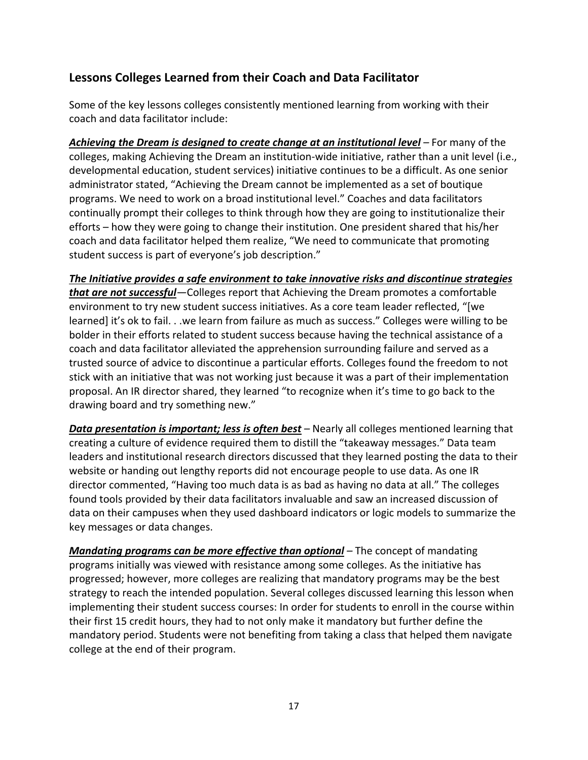#### **Lessons Colleges Learned from their Coach and Data Facilitator**

Some of the key lessons colleges consistently mentioned learning from working with their coach and data facilitator include:

*Achieving the Dream is designed to create change at an institutional level –* For many of the colleges, making Achieving the Dream an institution‐wide initiative, rather than a unit level (i.e., developmental education, student services) initiative continues to be a difficult. As one senior administrator stated, "Achieving the Dream cannot be implemented as a set of boutique programs. We need to work on a broad institutional level." Coaches and data facilitators continually prompt their colleges to think through how they are going to institutionalize their efforts – how they were going to change their institution. One president shared that his/her coach and data facilitator helped them realize, "We need to communicate that promoting student success is part of everyone's job description."

*The Initiative provides a safe environment to take innovative risks and discontinue strategies that are not successful—*Colleges report that Achieving the Dream promotes a comfortable environment to try new student success initiatives. As a core team leader reflected, "[we learned] it's ok to fail. . .we learn from failure as much as success." Colleges were willing to be bolder in their efforts related to student success because having the technical assistance of a coach and data facilitator alleviated the apprehension surrounding failure and served as a trusted source of advice to discontinue a particular efforts. Colleges found the freedom to not stick with an initiative that was not working just because it was a part of their implementation proposal. An IR director shared, they learned "to recognize when it's time to go back to the drawing board and try something new."

*Data presentation is important; less is often best –* Nearly all colleges mentioned learning that creating a culture of evidence required them to distill the "takeaway messages." Data team leaders and institutional research directors discussed that they learned posting the data to their website or handing out lengthy reports did not encourage people to use data. As one IR director commented, "Having too much data is as bad as having no data at all." The colleges found tools provided by their data facilitators invaluable and saw an increased discussion of data on their campuses when they used dashboard indicators or logic models to summarize the key messages or data changes.

*Mandating programs can be more effective than optional –* The concept of mandating programs initially was viewed with resistance among some colleges. As the initiative has progressed; however, more colleges are realizing that mandatory programs may be the best strategy to reach the intended population. Several colleges discussed learning this lesson when implementing their student success courses: In order for students to enroll in the course within their first 15 credit hours, they had to not only make it mandatory but further define the mandatory period. Students were not benefiting from taking a class that helped them navigate college at the end of their program.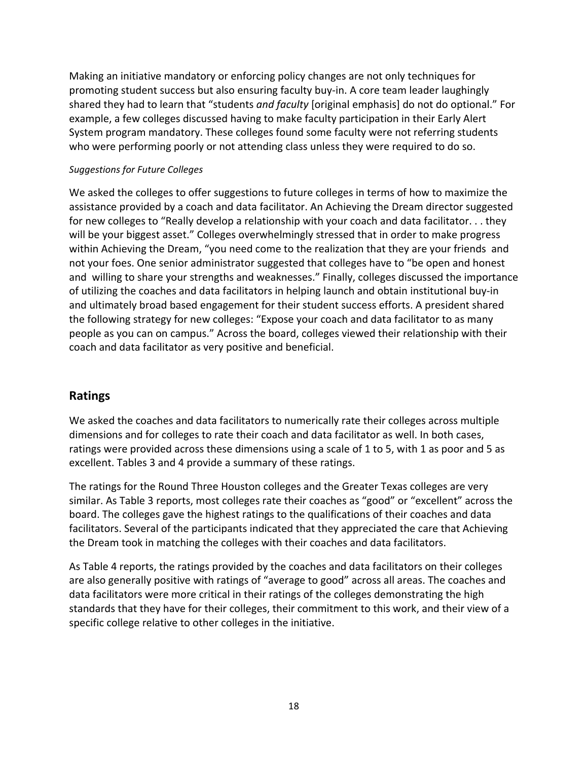Making an initiative mandatory or enforcing policy changes are not only techniques for promoting student success but also ensuring faculty buy‐in. A core team leader laughingly shared they had to learn that "students *and faculty* [original emphasis] do not do optional." For example, a few colleges discussed having to make faculty participation in their Early Alert System program mandatory. These colleges found some faculty were not referring students who were performing poorly or not attending class unless they were required to do so.

#### *Suggestions for Future Colleges*

We asked the colleges to offer suggestions to future colleges in terms of how to maximize the assistance provided by a coach and data facilitator. An Achieving the Dream director suggested for new colleges to "Really develop a relationship with your coach and data facilitator. . . they will be your biggest asset." Colleges overwhelmingly stressed that in order to make progress within Achieving the Dream, "you need come to the realization that they are your friends and not your foes. One senior administrator suggested that colleges have to "be open and honest and willing to share your strengths and weaknesses." Finally, colleges discussed the importance of utilizing the coaches and data facilitators in helping launch and obtain institutional buy‐in and ultimately broad based engagement for their student success efforts. A president shared the following strategy for new colleges: "Expose your coach and data facilitator to as many people as you can on campus." Across the board, colleges viewed their relationship with their coach and data facilitator as very positive and beneficial.

#### **Ratings**

We asked the coaches and data facilitators to numerically rate their colleges across multiple dimensions and for colleges to rate their coach and data facilitator as well. In both cases, ratings were provided across these dimensions using a scale of 1 to 5, with 1 as poor and 5 as excellent. Tables 3 and 4 provide a summary of these ratings.

The ratings for the Round Three Houston colleges and the Greater Texas colleges are very similar. As Table 3 reports, most colleges rate their coaches as "good" or "excellent" across the board. The colleges gave the highest ratings to the qualifications of their coaches and data facilitators. Several of the participants indicated that they appreciated the care that Achieving the Dream took in matching the colleges with their coaches and data facilitators.

As Table 4 reports, the ratings provided by the coaches and data facilitators on their colleges are also generally positive with ratings of "average to good" across all areas. The coaches and data facilitators were more critical in their ratings of the colleges demonstrating the high standards that they have for their colleges, their commitment to this work, and their view of a specific college relative to other colleges in the initiative.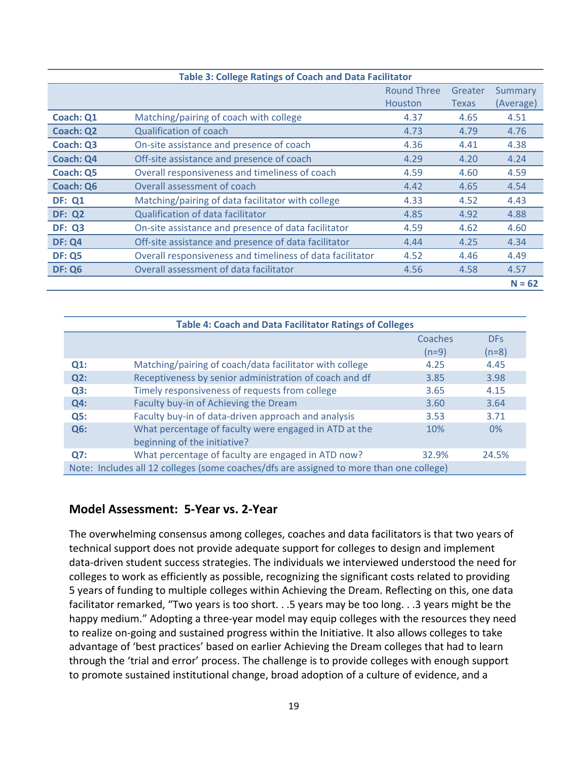| <b>Table 3: College Ratings of Coach and Data Facilitator</b> |                                                           |                    |              |           |
|---------------------------------------------------------------|-----------------------------------------------------------|--------------------|--------------|-----------|
|                                                               |                                                           | <b>Round Three</b> | Greater      | Summary   |
|                                                               |                                                           | <b>Houston</b>     | <b>Texas</b> | (Average) |
| <b>Coach: Q1</b>                                              | Matching/pairing of coach with college                    | 4.37               | 4.65         | 4.51      |
| <b>Coach: Q2</b>                                              | <b>Qualification of coach</b>                             | 4.73               | 4.79         | 4.76      |
| Coach: Q3                                                     | On-site assistance and presence of coach                  | 4.36               | 4.41         | 4.38      |
| <b>Coach: Q4</b>                                              | Off-site assistance and presence of coach                 | 4.29               | 4.20         | 4.24      |
| Coach: Q5                                                     | Overall responsiveness and timeliness of coach            | 4.59               | 4.60         | 4.59      |
| <b>Coach: Q6</b>                                              | Overall assessment of coach                               | 4.42               | 4.65         | 4.54      |
| <b>DF: Q1</b>                                                 | Matching/pairing of data facilitator with college         | 4.33               | 4.52         | 4.43      |
| <b>DF: Q2</b>                                                 | <b>Qualification of data facilitator</b>                  | 4.85               | 4.92         | 4.88      |
| <b>DF: Q3</b>                                                 | On-site assistance and presence of data facilitator       | 4.59               | 4.62         | 4.60      |
| <b>DF: Q4</b>                                                 | Off-site assistance and presence of data facilitator      | 4.44               | 4.25         | 4.34      |
| <b>DF: Q5</b>                                                 | Overall responsiveness and timeliness of data facilitator | 4.52               | 4.46         | 4.49      |
| <b>DF: Q6</b>                                                 | Overall assessment of data facilitator                    | 4.56               | 4.58         | 4.57      |
|                                                               |                                                           |                    |              | $N = 62$  |

| <b>Table 4: Coach and Data Facilitator Ratings of Colleges</b>                          |                                                                                       |         |            |  |
|-----------------------------------------------------------------------------------------|---------------------------------------------------------------------------------------|---------|------------|--|
|                                                                                         |                                                                                       | Coaches | <b>DFs</b> |  |
|                                                                                         |                                                                                       | $(n=9)$ | $(n=8)$    |  |
| $Q1$ :                                                                                  | Matching/pairing of coach/data facilitator with college                               | 4.25    | 4.45       |  |
| Q2:                                                                                     | Receptiveness by senior administration of coach and df                                | 3.85    | 3.98       |  |
| Q3:                                                                                     | Timely responsiveness of requests from college                                        | 3.65    | 4.15       |  |
| Q4:                                                                                     | Faculty buy-in of Achieving the Dream                                                 | 3.60    | 3.64       |  |
| Q5:                                                                                     | Faculty buy-in of data-driven approach and analysis                                   | 3.53    | 3.71       |  |
| Q6:                                                                                     | What percentage of faculty were engaged in ATD at the<br>beginning of the initiative? | 10%     | $0\%$      |  |
| Q7:                                                                                     | What percentage of faculty are engaged in ATD now?                                    | 32.9%   | 24.5%      |  |
| Note: Includes all 12 colleges (some coaches/dfs are assigned to more than one college) |                                                                                       |         |            |  |

#### **Model Assessment: 5‐Year vs. 2‐Year**

The overwhelming consensus among colleges, coaches and data facilitators is that two years of technical support does not provide adequate support for colleges to design and implement data‐driven student success strategies. The individuals we interviewed understood the need for colleges to work as efficiently as possible, recognizing the significant costs related to providing 5 years of funding to multiple colleges within Achieving the Dream. Reflecting on this, one data facilitator remarked, "Two years is too short. . .5 years may be too long. . .3 years might be the happy medium." Adopting a three-year model may equip colleges with the resources they need to realize on‐going and sustained progress within the Initiative. It also allows colleges to take advantage of 'best practices' based on earlier Achieving the Dream colleges that had to learn through the 'trial and error' process. The challenge is to provide colleges with enough support to promote sustained institutional change, broad adoption of a culture of evidence, and a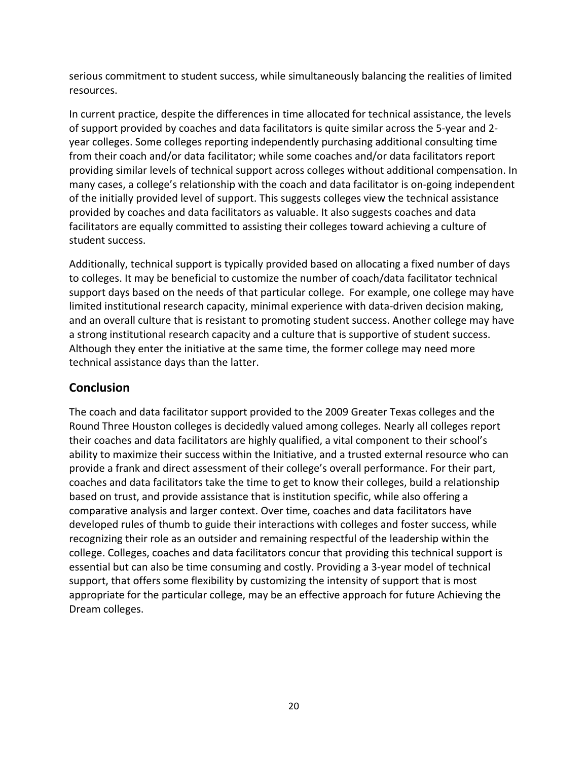serious commitment to student success, while simultaneously balancing the realities of limited resources.

In current practice, despite the differences in time allocated for technical assistance, the levels of support provided by coaches and data facilitators is quite similar across the 5‐year and 2‐ year colleges. Some colleges reporting independently purchasing additional consulting time from their coach and/or data facilitator; while some coaches and/or data facilitators report providing similar levels of technical support across colleges without additional compensation. In many cases, a college's relationship with the coach and data facilitator is on‐going independent of the initially provided level of support. This suggests colleges view the technical assistance provided by coaches and data facilitators as valuable. It also suggests coaches and data facilitators are equally committed to assisting their colleges toward achieving a culture of student success.

Additionally, technical support is typically provided based on allocating a fixed number of days to colleges. It may be beneficial to customize the number of coach/data facilitator technical support days based on the needs of that particular college. For example, one college may have limited institutional research capacity, minimal experience with data-driven decision making, and an overall culture that is resistant to promoting student success. Another college may have a strong institutional research capacity and a culture that is supportive of student success. Although they enter the initiative at the same time, the former college may need more technical assistance days than the latter.

#### **Conclusion**

The coach and data facilitator support provided to the 2009 Greater Texas colleges and the Round Three Houston colleges is decidedly valued among colleges. Nearly all colleges report their coaches and data facilitators are highly qualified, a vital component to their school's ability to maximize their success within the Initiative, and a trusted external resource who can provide a frank and direct assessment of their college's overall performance. For their part, coaches and data facilitators take the time to get to know their colleges, build a relationship based on trust, and provide assistance that is institution specific, while also offering a comparative analysis and larger context. Over time, coaches and data facilitators have developed rules of thumb to guide their interactions with colleges and foster success, while recognizing their role as an outsider and remaining respectful of the leadership within the college. Colleges, coaches and data facilitators concur that providing this technical support is essential but can also be time consuming and costly. Providing a 3‐year model of technical support, that offers some flexibility by customizing the intensity of support that is most appropriate for the particular college, may be an effective approach for future Achieving the Dream colleges.